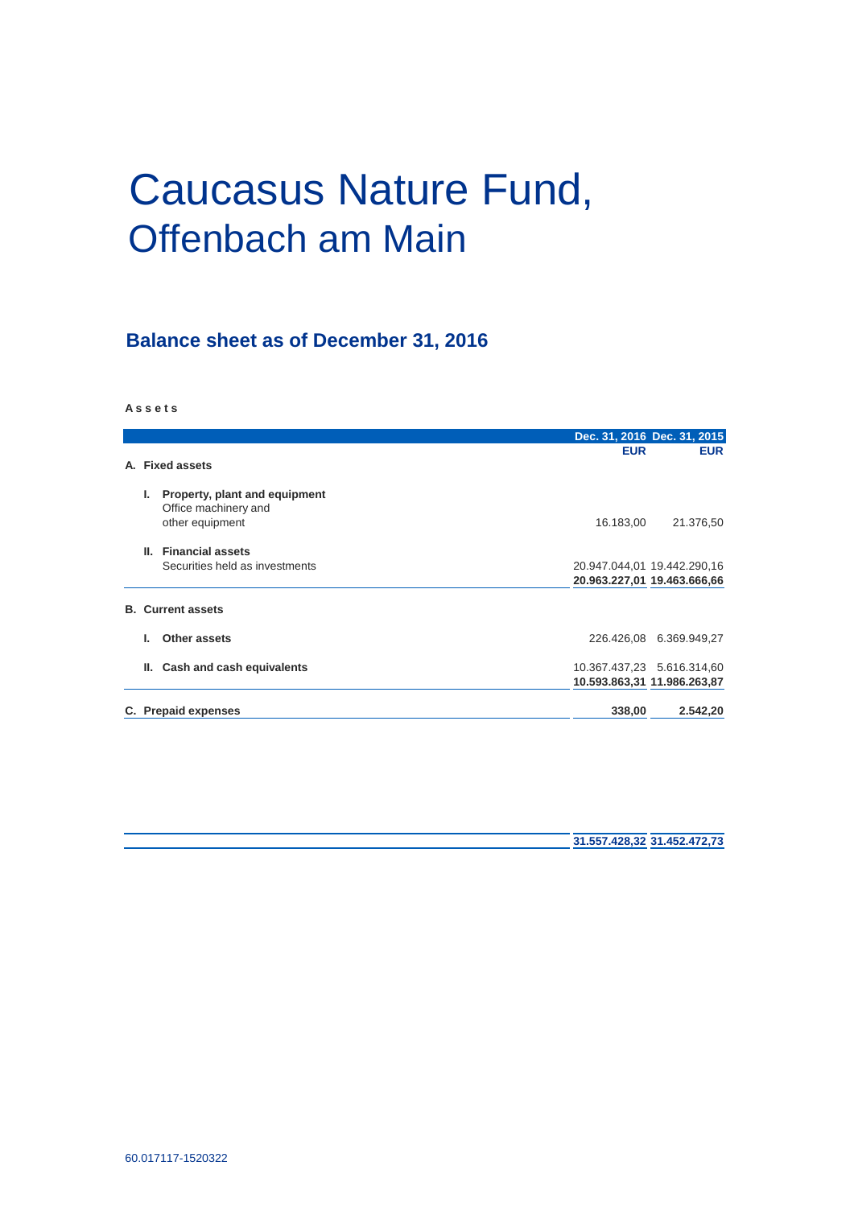# Caucasus Nature Fund, Offenbach am Main

# **Balance sheet as of December 31, 2016**

**A s s e t s**

|                 |                                                                          |                                                            | Dec. 31, 2016 Dec. 31, 2015 |
|-----------------|--------------------------------------------------------------------------|------------------------------------------------------------|-----------------------------|
| A. Fixed assets |                                                                          | <b>EUR</b>                                                 | <b>EUR</b>                  |
| Ъ.              | Property, plant and equipment<br>Office machinery and<br>other equipment | 16.183,00                                                  | 21.376,50                   |
| Ш.              | <b>Financial assets</b><br>Securities held as investments                | 20.947.044,01 19.442.290,16<br>20.963.227,01 19.463.666,66 |                             |
|                 | <b>B.</b> Current assets                                                 |                                                            |                             |
|                 | Other assets                                                             |                                                            | 226.426,08 6.369.949,27     |
| Ш.              | Cash and cash equivalents                                                | 10.593.863,31 11.986.263,87                                | 10.367.437,23 5.616.314,60  |
|                 | C. Prepaid expenses                                                      | 338,00                                                     | 2.542,20                    |

**31.557.428,32 31.452.472,73**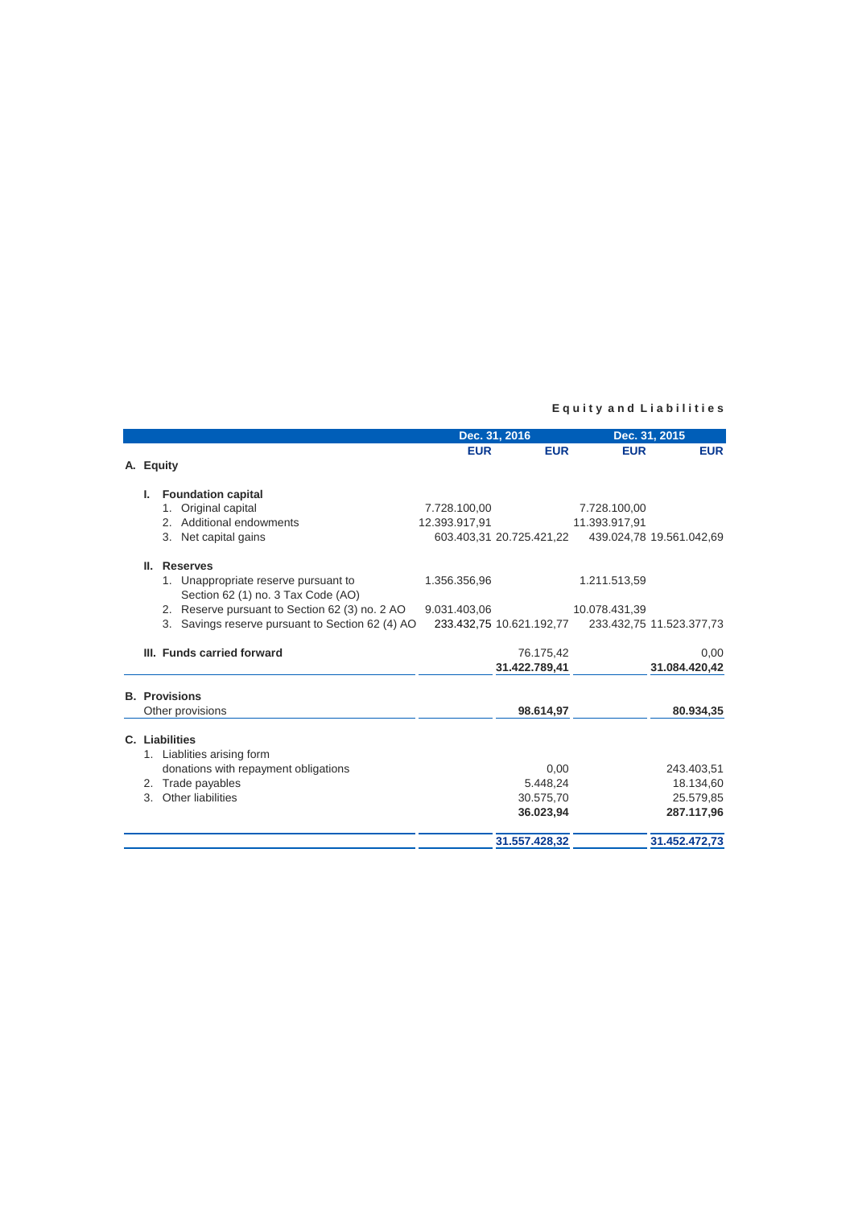## **E q u i t y a n d L i a b i l i t i e s**

|                                                                            |                                                  |               | Dec. 31, 2016            |               | Dec. 31, 2015            |  |
|----------------------------------------------------------------------------|--------------------------------------------------|---------------|--------------------------|---------------|--------------------------|--|
|                                                                            |                                                  | <b>EUR</b>    | <b>EUR</b>               | <b>EUR</b>    | <b>EUR</b>               |  |
| A. Equity                                                                  |                                                  |               |                          |               |                          |  |
| <b>Foundation capital</b><br>Ъ.                                            |                                                  |               |                          |               |                          |  |
| 1. Original capital                                                        |                                                  | 7.728.100.00  |                          | 7.728.100.00  |                          |  |
| 2. Additional endowments                                                   |                                                  | 12.393.917.91 |                          | 11.393.917.91 |                          |  |
| 3. Net capital gains                                                       |                                                  |               | 603.403,31 20.725.421,22 |               | 439.024,78 19.561.042,69 |  |
| II.<br><b>Reserves</b>                                                     |                                                  |               |                          |               |                          |  |
| 1. Unappropriate reserve pursuant to<br>Section 62 (1) no. 3 Tax Code (AO) |                                                  | 1.356.356,96  |                          | 1.211.513,59  |                          |  |
|                                                                            | 2. Reserve pursuant to Section 62 (3) no. 2 AO   | 9.031.403,06  |                          | 10.078.431,39 |                          |  |
|                                                                            | 3. Savings reserve pursuant to Section 62 (4) AO |               | 233.432,75 10.621.192,77 |               | 233.432,75 11.523.377,73 |  |
| III. Funds carried forward                                                 |                                                  |               | 76.175,42                |               | 0,00                     |  |
|                                                                            |                                                  |               | 31.422.789,41            |               | 31.084.420,42            |  |
| <b>B.</b> Provisions                                                       |                                                  |               |                          |               |                          |  |
| Other provisions                                                           |                                                  |               | 98.614,97                |               | 80.934,35                |  |
| C. Liabilities                                                             |                                                  |               |                          |               |                          |  |
| 1. Liablities arising form                                                 |                                                  |               |                          |               |                          |  |
| donations with repayment obligations                                       |                                                  |               | 0.00                     |               | 243.403,51               |  |
| 2. Trade payables                                                          |                                                  |               | 5.448.24                 |               | 18.134,60                |  |
| Other liabilities<br>$3_{-}$                                               |                                                  |               | 30.575,70                |               | 25.579,85                |  |
|                                                                            |                                                  |               | 36.023,94                |               | 287.117,96               |  |
|                                                                            |                                                  |               | 31.557.428,32            |               | 31.452.472,73            |  |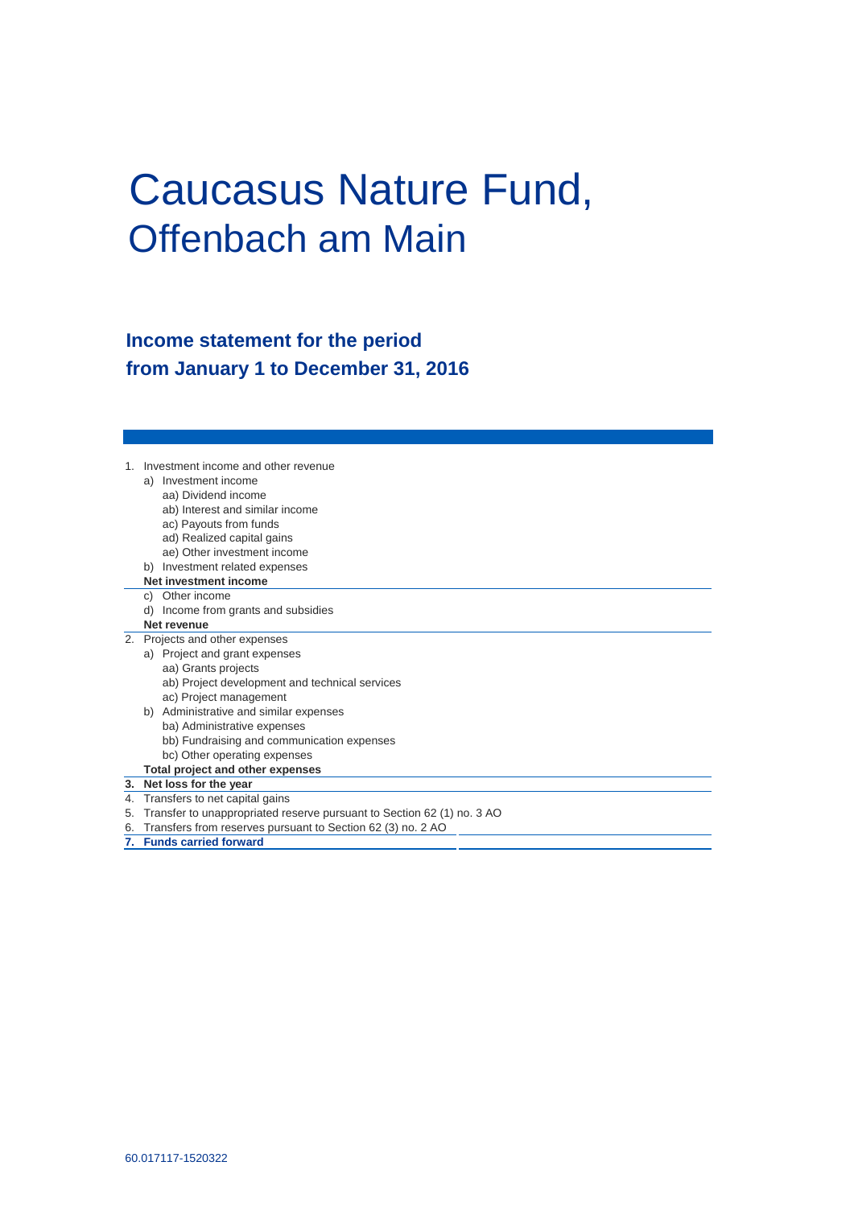# Caucasus Nature Fund, Offenbach am Main

# **Income statement for the period from January 1 to December 31, 2016**

|    |    | Investment income and other revenue                                    |
|----|----|------------------------------------------------------------------------|
|    |    | a) Investment income                                                   |
|    |    | aa) Dividend income                                                    |
|    |    | ab) Interest and similar income                                        |
|    |    | ac) Payouts from funds                                                 |
|    |    | ad) Realized capital gains                                             |
|    |    | ae) Other investment income                                            |
|    |    | Investment related expenses                                            |
|    |    | Net investment income                                                  |
|    | C) | Other income                                                           |
|    | d) | Income from grants and subsidies                                       |
|    |    | Net revenue                                                            |
| 2. |    | Projects and other expenses                                            |
|    |    | a) Project and grant expenses                                          |
|    |    | aa) Grants projects                                                    |
|    |    | ab) Project development and technical services                         |
|    |    | ac) Project management                                                 |
|    | b) | Administrative and similar expenses                                    |
|    |    | ba) Administrative expenses                                            |
|    |    | bb) Fundraising and communication expenses                             |
|    |    | bc) Other operating expenses                                           |
|    |    | Total project and other expenses                                       |
|    |    | 3. Net loss for the year                                               |
| 4. |    | Transfers to net capital gains                                         |
| 5. |    | Transfer to unappropriated reserve pursuant to Section 62 (1) no. 3 AO |
| 6. |    | Transfers from reserves pursuant to Section 62 (3) no. 2 AO            |

**7. Funds carried forward**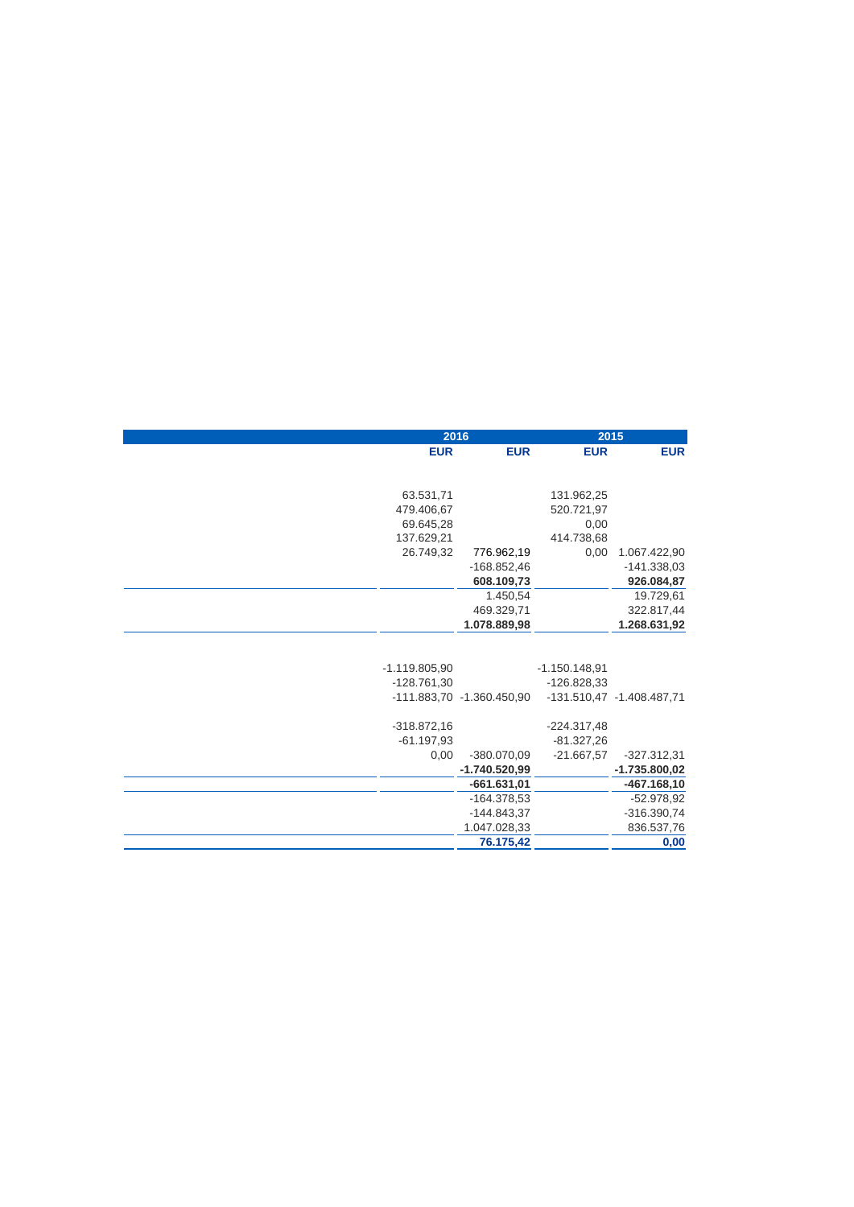|                 | 2016                      |                 | 2015                      |
|-----------------|---------------------------|-----------------|---------------------------|
| <b>EUR</b>      | <b>EUR</b>                | <b>EUR</b>      | <b>EUR</b>                |
|                 |                           |                 |                           |
|                 |                           |                 |                           |
| 63.531,71       |                           | 131.962,25      |                           |
| 479.406,67      |                           | 520.721,97      |                           |
| 69.645,28       |                           | 0,00            |                           |
| 137.629,21      |                           | 414.738,68      |                           |
| 26.749,32       | 776.962,19                | 0,00            | 1.067.422,90              |
|                 | $-168.852,46$             |                 | $-141.338.03$             |
|                 | 608.109,73                |                 | 926.084,87                |
|                 | 1.450,54                  |                 | 19.729,61                 |
|                 | 469.329,71                |                 | 322.817,44                |
|                 | 1.078.889,98              |                 | 1.268.631,92              |
|                 |                           |                 |                           |
|                 |                           |                 |                           |
| $-1.119.805.90$ |                           | $-1.150.148.91$ |                           |
| $-128.761,30$   |                           | $-126.828.33$   |                           |
|                 | -111.883,70 -1.360.450,90 |                 | -131.510,47 -1.408.487,71 |
|                 |                           |                 |                           |
| $-318.872,16$   |                           | $-224.317,48$   |                           |
| $-61.197,93$    |                           | $-81.327,26$    |                           |
| 0,00            | $-380.070.09$             | $-21.667,57$    | $-327.312.31$             |
|                 | $-1.740.520.99$           |                 | $-1.735.800.02$           |
|                 | $-661.631,01$             |                 | $-467.168,10$             |
|                 | $-164.378,53$             |                 | $-52.978,92$              |
|                 | $-144.843.37$             |                 | $-316.390,74$             |
|                 | 1.047.028,33              |                 | 836.537,76                |
|                 | 76.175,42                 |                 | 0,00                      |
|                 |                           |                 |                           |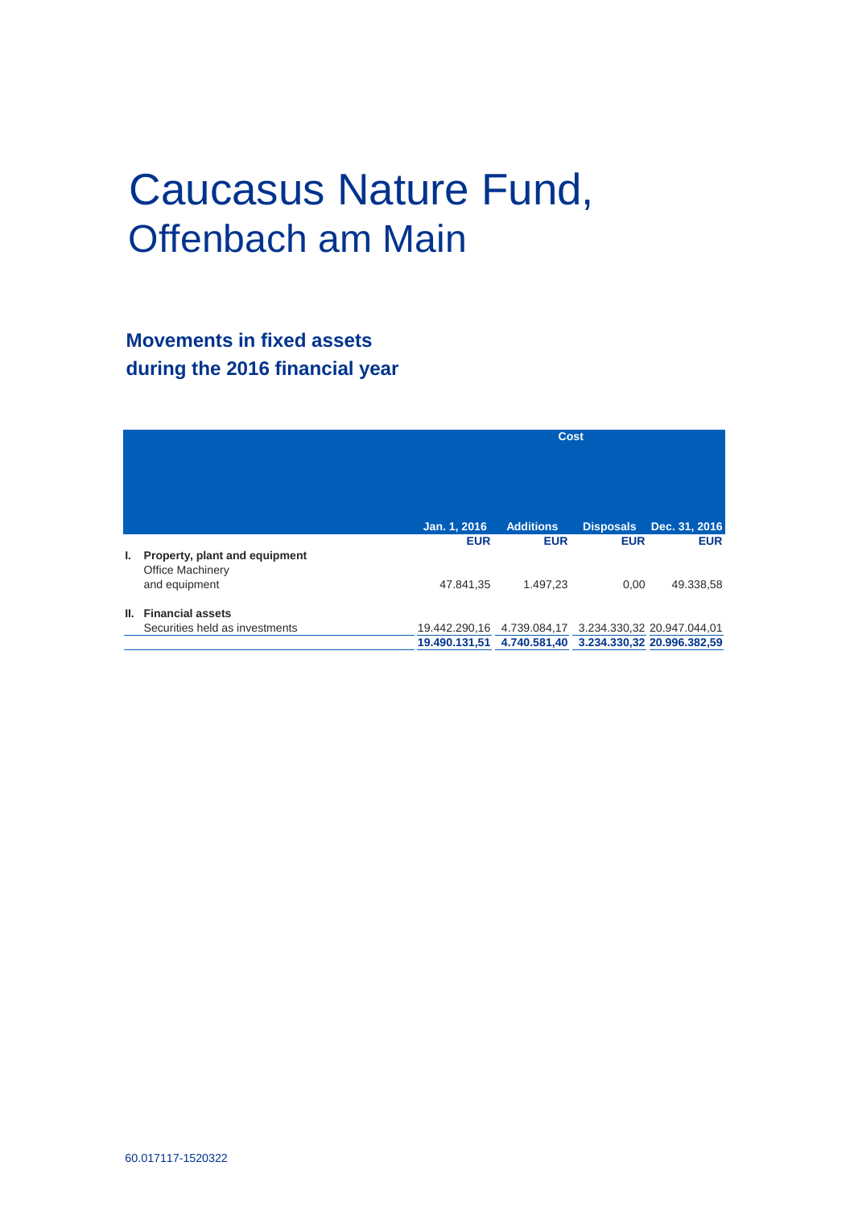# Caucasus Nature Fund, Offenbach am Main

# **Movements in fixed assets during the 2016 financial year**

|    |                                                                           |                                                                        | <b>Cost</b>                    |                                |                                         |
|----|---------------------------------------------------------------------------|------------------------------------------------------------------------|--------------------------------|--------------------------------|-----------------------------------------|
|    |                                                                           | Jan. 1, 2016<br><b>EUR</b>                                             | <b>Additions</b><br><b>EUR</b> | <b>Disposals</b><br><b>EUR</b> | Dec. 31, 2016<br><b>EUR</b>             |
| Ъ. | Property, plant and equipment<br><b>Office Machinery</b><br>and equipment | 47.841,35                                                              | 1.497.23                       | 0.00                           | 49.338,58                               |
| Ш. | <b>Financial assets</b><br>Securities held as investments                 | 19.442.290.16<br>19.490.131,51 4.740.581,40 3.234.330,32 20.996.382,59 |                                |                                | 4.739.084,17 3.234.330,32 20.947.044,01 |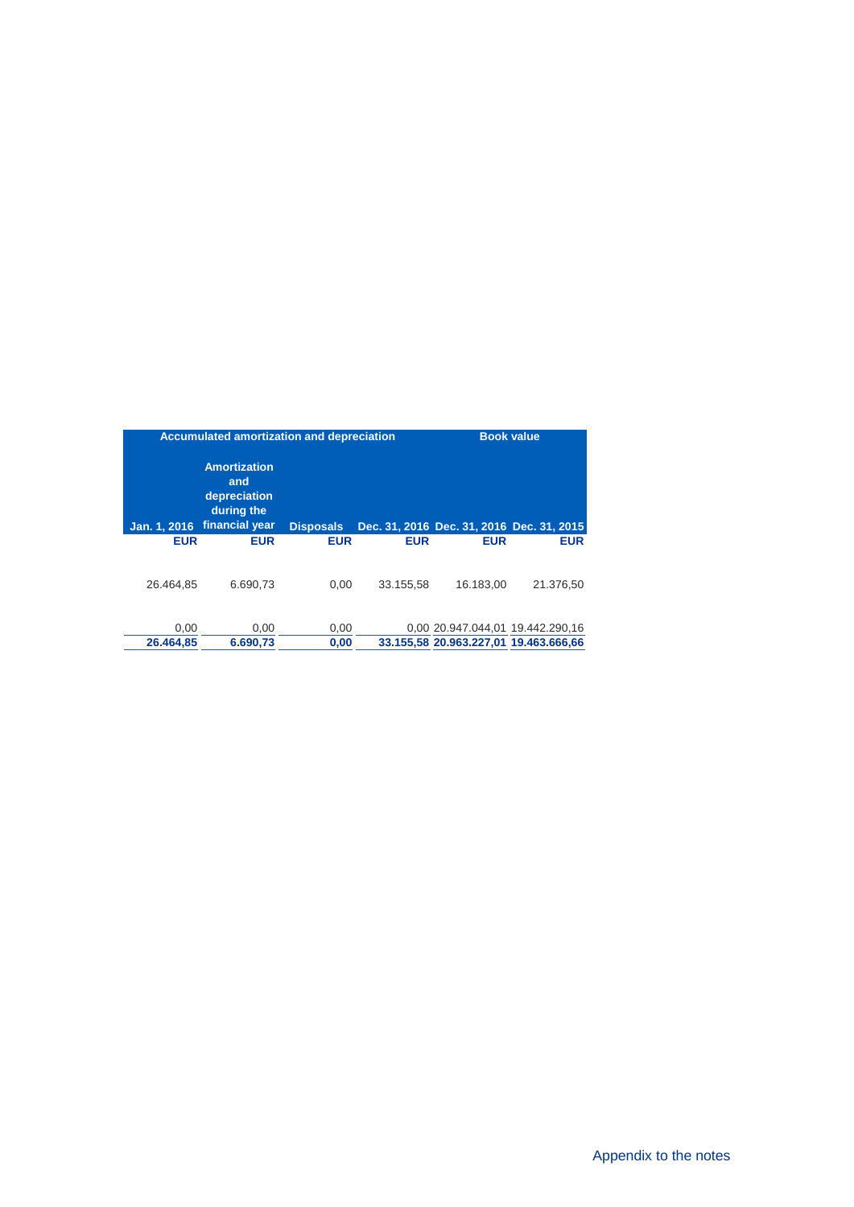|                   | Accumulated amortization and depreciation                                  |                  |            |                                                                           | <b>Book value</b> |
|-------------------|----------------------------------------------------------------------------|------------------|------------|---------------------------------------------------------------------------|-------------------|
| Jan. 1, 2016      | <b>Amortization</b><br>and<br>depreciation<br>during the<br>financial year | <b>Disposals</b> |            | Dec. 31, 2016 Dec. 31, 2016 Dec. 31, 2015                                 |                   |
| <b>EUR</b>        | <b>EUR</b>                                                                 | <b>EUR</b>       | <b>EUR</b> | <b>EUR</b>                                                                | <b>EUR</b>        |
| 26.464.85         | 6.690.73                                                                   | 0.00             | 33.155.58  | 16.183.00                                                                 | 21.376,50         |
| 0.00<br>26.464.85 | 0.00<br>6.690,73                                                           | 0.00<br>0,00     |            | 0.00 20.947.044.01 19.442.290.16<br>33.155.58 20.963.227.01 19.463.666.66 |                   |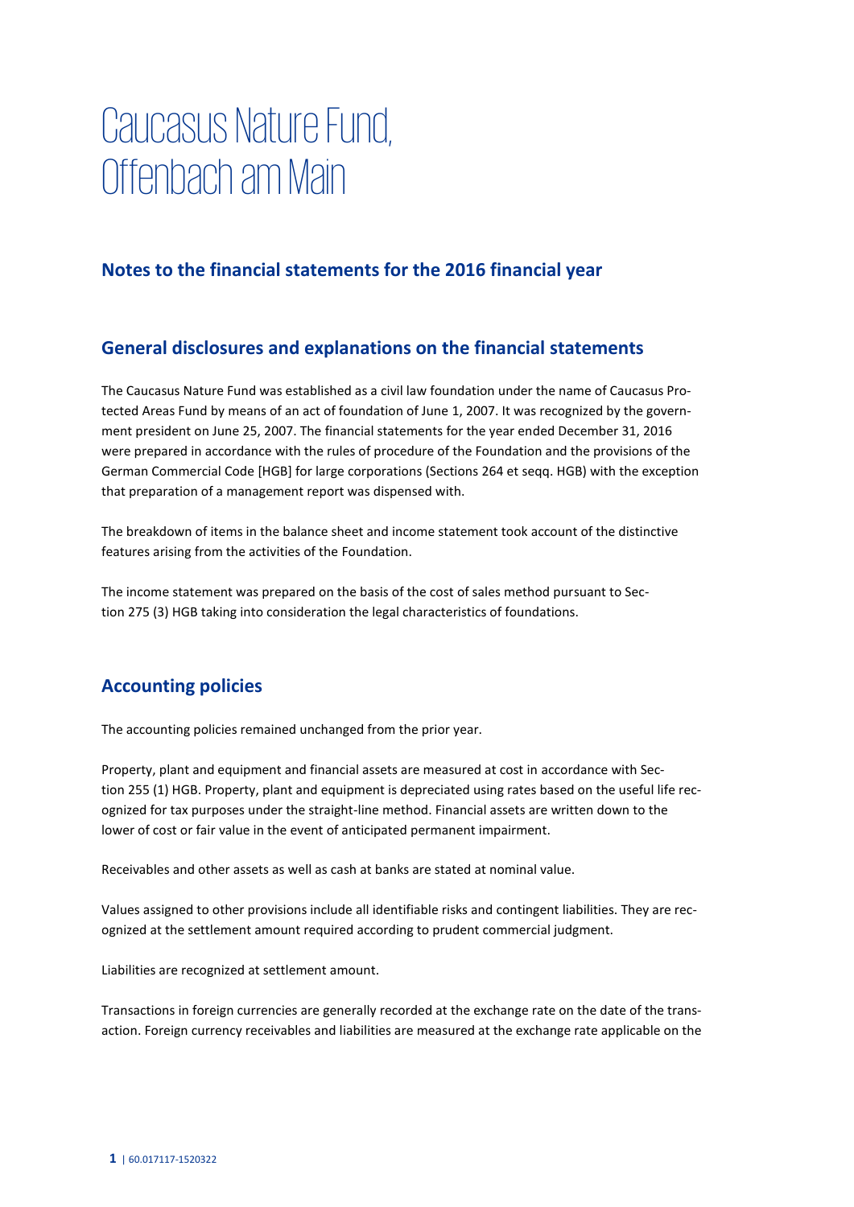# **Caucasus Nature Fund, Offenbach am Main**

## **Notes to the financial statements for the 2016 financial year**

## **General disclosures and explanations on the financial statements**

The Caucasus Nature Fund was established as a civil law foundation under the name of Caucasus Protected Areas Fund by means of an act of foundation of June 1, 2007. It was recognized by the government president on June 25, 2007. The financial statements for the year ended December 31, 2016 were prepared in accordance with the rules of procedure of the Foundation and the provisions of the German Commercial Code [HGB] for large corporations (Sections 264 et seqq. HGB) with the exception that preparation of a management report was dispensed with.

The breakdown of items in the balance sheet and income statement took account of the distinctive features arising from the activities of the Foundation.

The income statement was prepared on the basis of the cost of sales method pursuant to Section 275 (3) HGB taking into consideration the legal characteristics of foundations.

## **Accounting policies**

The accounting policies remained unchanged from the prior year.

Property, plant and equipment and financial assets are measured at cost in accordance with Section 255 (1) HGB. Property, plant and equipment is depreciated using rates based on the useful life recognized for tax purposes under the straight-line method. Financial assets are written down to the lower of cost or fair value in the event of anticipated permanent impairment.

Receivables and other assets as well as cash at banks are stated at nominal value.

Values assigned to other provisions include all identifiable risks and contingent liabilities. They are recognized at the settlement amount required according to prudent commercial judgment.

Liabilities are recognized at settlement amount.

Transactions in foreign currencies are generally recorded at the exchange rate on the date of the transaction. Foreign currency receivables and liabilities are measured at the exchange rate applicable on the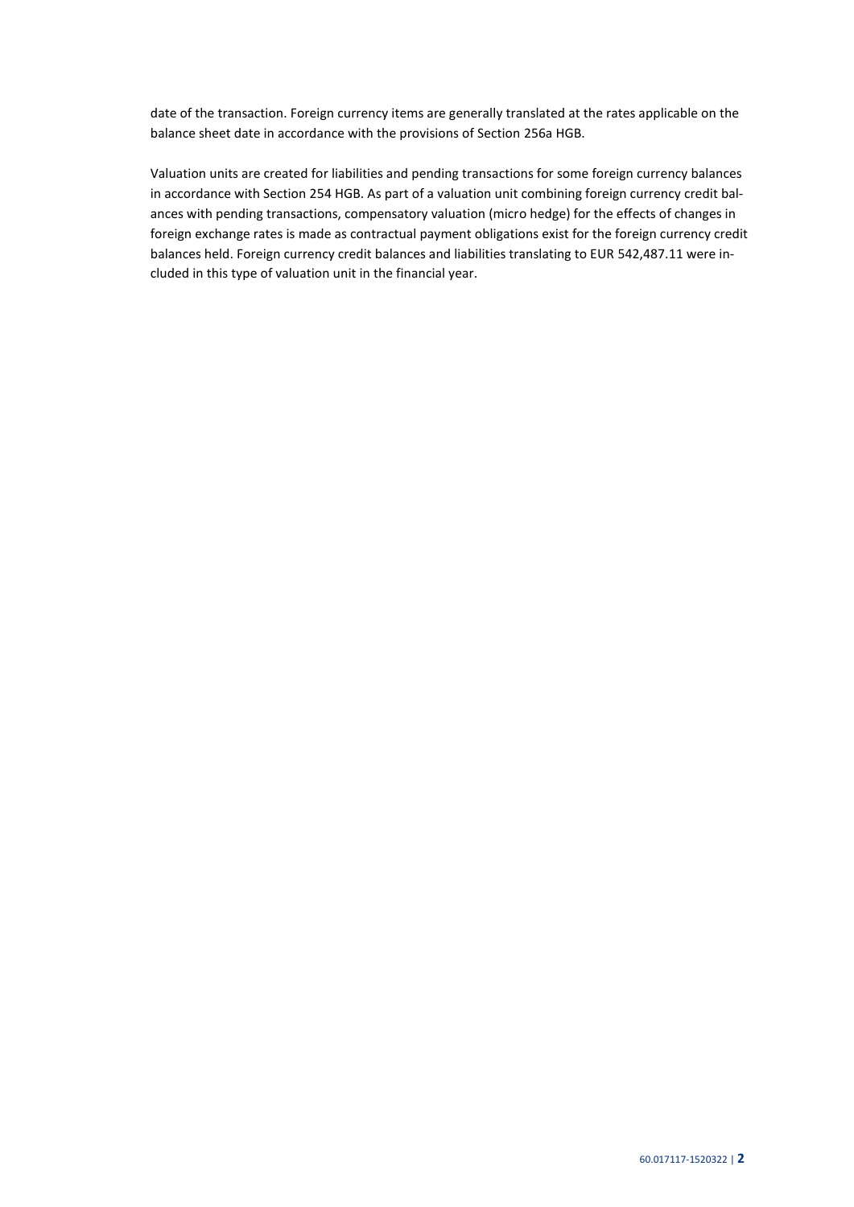date of the transaction. Foreign currency items are generally translated at the rates applicable on the balance sheet date in accordance with the provisions of Section 256a HGB.

Valuation units are created for liabilities and pending transactions for some foreign currency balances in accordance with Section 254 HGB. As part of a valuation unit combining foreign currency credit balances with pending transactions, compensatory valuation (micro hedge) for the effects of changes in foreign exchange rates is made as contractual payment obligations exist for the foreign currency credit balances held. Foreign currency credit balances and liabilities translating to EUR 542,487.11 were included in this type of valuation unit in the financial year.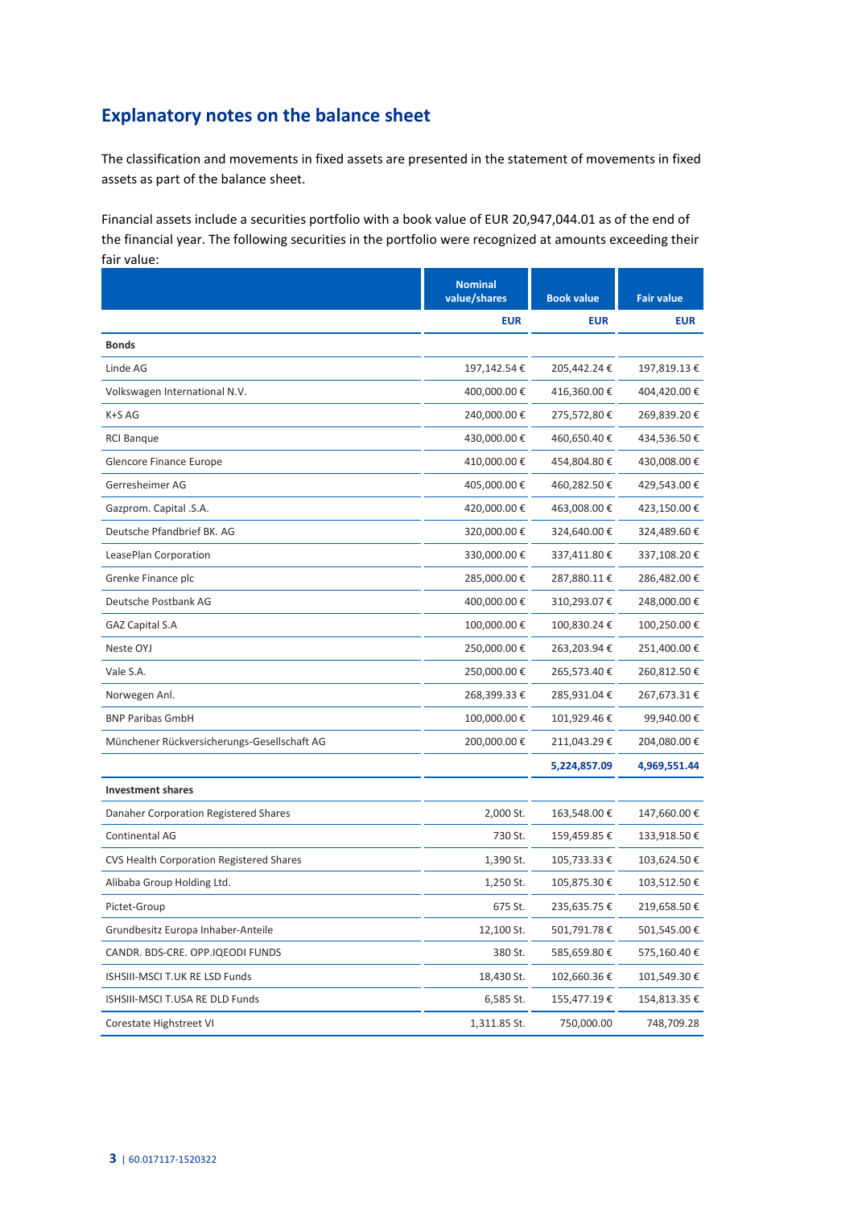## **Explanatory notes on the balance sheet**

The classification and movements in fixed assets are presented in the statement of movements in fixed assets as part of the balance sheet.

Financial assets include a securities portfolio with a book value of EUR 20,947,044.01 as of the end of the financial year. The following securities in the portfolio were recognized at amounts exceeding their fair value:

|                                                 | <b>Nominal</b><br>value/shares | <b>Book value</b> | <b>Fair value</b> |
|-------------------------------------------------|--------------------------------|-------------------|-------------------|
|                                                 | <b>EUR</b>                     | <b>EUR</b>        | <b>EUR</b>        |
| <b>Bonds</b>                                    |                                |                   |                   |
| Linde AG                                        | 197,142.54€                    | 205,442.24€       | 197,819.13 €      |
| Volkswagen International N.V.                   | 400,000.00 €                   | 416,360.00 €      | 404,420.00€       |
| K+S AG                                          | 240,000.00€                    | 275,572,80€       | 269,839.20 €      |
| <b>RCI Banque</b>                               | 430,000.00€                    | 460,650.40€       | 434,536.50€       |
| Glencore Finance Europe                         | 410,000.00€                    | 454,804.80 €      | 430,008.00 €      |
| Gerresheimer AG                                 | 405,000.00€                    | 460,282.50 €      | 429,543.00 €      |
| Gazprom. Capital .S.A.                          | 420,000.00€                    | 463,008.00 €      | 423,150.00 €      |
| Deutsche Pfandbrief BK. AG                      | 320,000.00 €                   | 324,640.00 €      | 324,489.60 €      |
| LeasePlan Corporation                           | 330,000.00€                    | 337,411.80 €      | 337,108.20€       |
| Grenke Finance plc                              | 285,000.00 €                   | 287,880.11€       | 286,482.00 €      |
| Deutsche Postbank AG                            | 400,000.00€                    | 310,293.07€       | 248,000.00€       |
| <b>GAZ Capital S.A</b>                          | 100,000.00€                    | 100,830.24€       | 100,250.00 €      |
| Neste OYJ                                       | 250,000.00€                    | 263,203.94 €      | 251,400.00 €      |
| Vale S.A.                                       | 250,000.00€                    | 265,573.40€       | 260,812.50 €      |
| Norwegen Anl.                                   | 268,399.33 €                   | 285,931.04 €      | 267,673.31 €      |
| <b>BNP Paribas GmbH</b>                         | 100,000.00€                    | 101,929.46€       | 99,940.00€        |
| Münchener Rückversicherungs-Gesellschaft AG     | 200,000.00 €                   | 211,043.29€       | 204,080.00 €      |
|                                                 |                                | 5,224,857.09      | 4,969,551.44      |
| <b>Investment shares</b>                        |                                |                   |                   |
| Danaher Corporation Registered Shares           | 2,000 St.                      | 163,548.00 €      | 147,660.00 €      |
| Continental AG                                  | 730 St.                        | 159,459.85€       | 133,918.50€       |
| <b>CVS Health Corporation Registered Shares</b> | 1,390 St.                      | 105,733.33 €      | 103,624.50€       |
| Alibaba Group Holding Ltd.                      | 1,250 St.                      | 105,875.30 €      | 103,512.50€       |
| Pictet-Group                                    | 675 St.                        | 235,635.75€       | 219,658.50€       |
| Grundbesitz Europa Inhaber-Anteile              | 12,100 St.                     | 501,791.78€       | 501,545.00€       |
| CANDR. BDS-CRE. OPP.IQEODI FUNDS                | 380 St.                        | 585,659.80 €      | 575,160.40€       |
| ISHSIII-MSCI T.UK RE LSD Funds                  | 18,430 St.                     | 102,660.36 €      | 101,549.30€       |
| ISHSIII-MSCI T.USA RE DLD Funds                 | 6,585 St.                      | 155,477.19€       | 154,813.35 €      |
| Corestate Highstreet VI                         | 1,311.85 St.                   | 750,000.00        | 748,709.28        |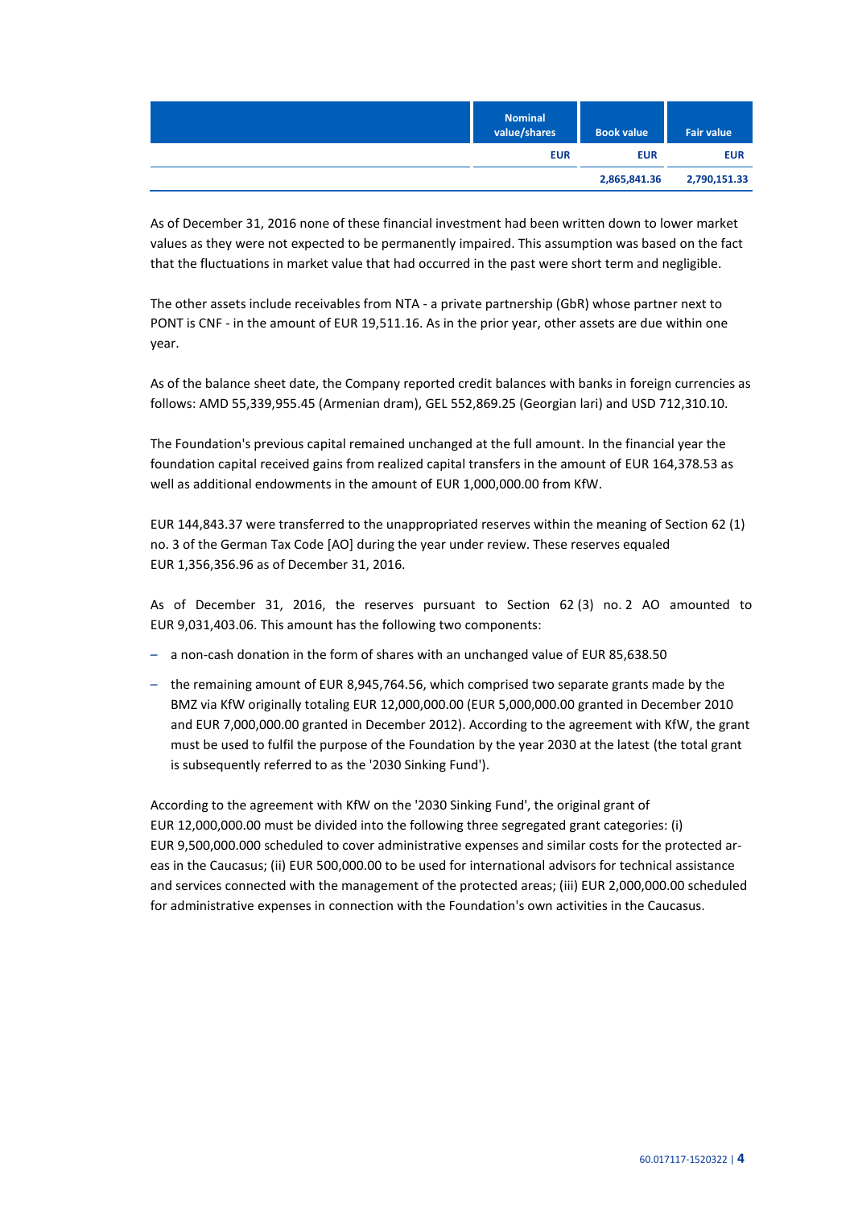| <b>Nominal</b><br>value/shares | <b>Book value</b> | <b>Fair value</b> |
|--------------------------------|-------------------|-------------------|
| <b>EUR</b>                     | <b>EUR</b>        | <b>EUR</b>        |
|                                | 2,865,841.36      | 2,790,151.33      |

As of December 31, 2016 none of these financial investment had been written down to lower market values as they were not expected to be permanently impaired. This assumption was based on the fact that the fluctuations in market value that had occurred in the past were short term and negligible.

The other assets include receivables from NTA - a private partnership (GbR) whose partner next to PONT is CNF - in the amount of EUR 19,511.16. As in the prior year, other assets are due within one year.

As of the balance sheet date, the Company reported credit balances with banks in foreign currencies as follows: AMD 55,339,955.45 (Armenian dram), GEL 552,869.25 (Georgian lari) and USD 712,310.10.

The Foundation's previous capital remained unchanged at the full amount. In the financial year the foundation capital received gains from realized capital transfers in the amount of EUR 164,378.53 as well as additional endowments in the amount of EUR 1,000,000.00 from KfW.

EUR 144,843.37 were transferred to the unappropriated reserves within the meaning of Section 62 (1) no. 3 of the German Tax Code [AO] during the year under review. These reserves equaled EUR 1,356,356.96 as of December 31, 2016.

As of December 31, 2016, the reserves pursuant to Section 62 (3) no. 2 AO amounted to EUR 9,031,403.06. This amount has the following two components:

- a non-cash donation in the form of shares with an unchanged value of EUR 85,638.50
- the remaining amount of EUR 8,945,764.56, which comprised two separate grants made by the BMZ via KfW originally totaling EUR 12,000,000.00 (EUR 5,000,000.00 granted in December 2010 and EUR 7,000,000.00 granted in December 2012). According to the agreement with KfW, the grant must be used to fulfil the purpose of the Foundation by the year 2030 at the latest (the total grant is subsequently referred to as the '2030 Sinking Fund').

According to the agreement with KfW on the '2030 Sinking Fund', the original grant of EUR 12,000,000.00 must be divided into the following three segregated grant categories: (i) EUR 9,500,000.000 scheduled to cover administrative expenses and similar costs for the protected areas in the Caucasus; (ii) EUR 500,000.00 to be used for international advisors for technical assistance and services connected with the management of the protected areas; (iii) EUR 2,000,000.00 scheduled for administrative expenses in connection with the Foundation's own activities in the Caucasus.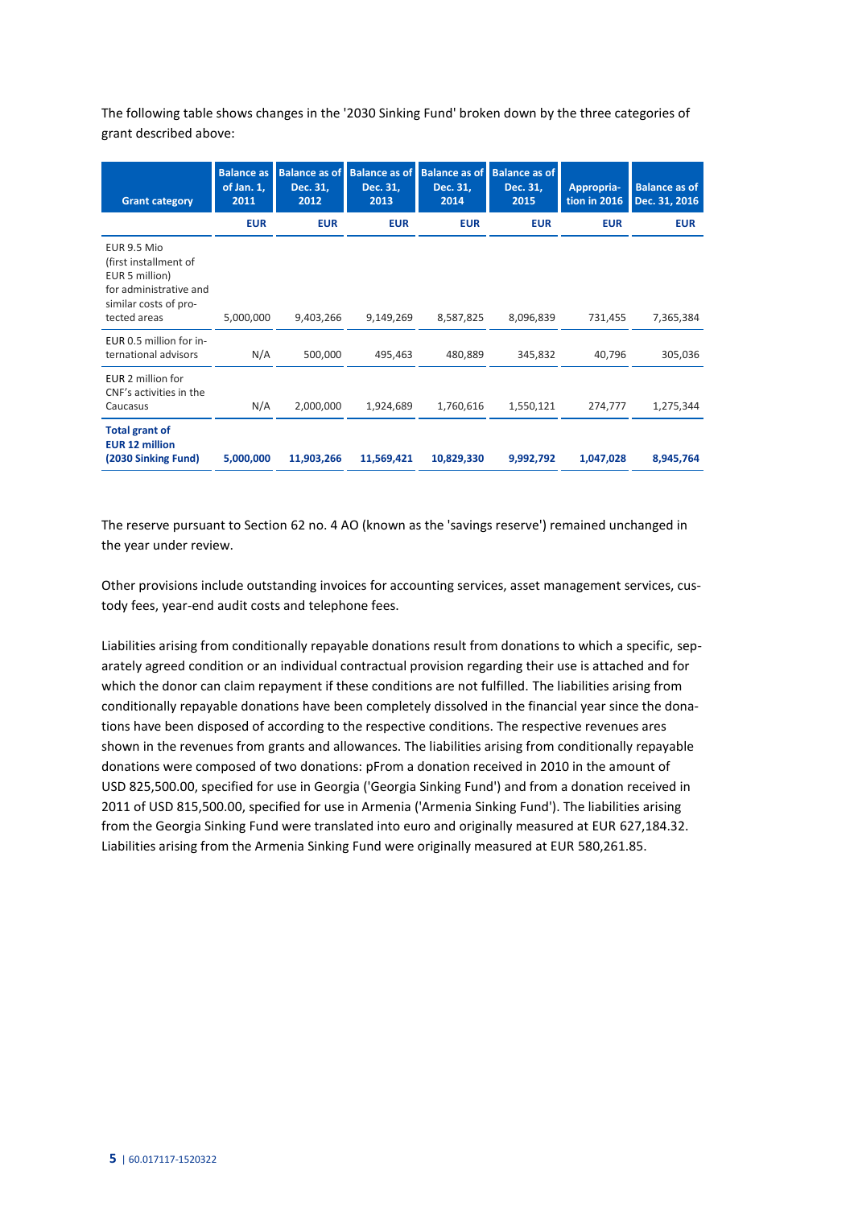The following table shows changes in the '2030 Sinking Fund' broken down by the three categories of grant described above:

| <b>Grant category</b>                                                                                                     | <b>Balance as</b><br>of Jan. 1,<br>2011 | <b>Balance as of</b><br>Dec. 31,<br>2012 | <b>Balance as of</b><br>Dec. 31,<br>2013 | <b>Balance as of</b><br>Dec. 31,<br>2014 | <b>Balance as of</b><br>Dec. 31,<br>2015 | Appropria-<br>tion in 2016 | <b>Balance as of</b><br>Dec. 31, 2016 |
|---------------------------------------------------------------------------------------------------------------------------|-----------------------------------------|------------------------------------------|------------------------------------------|------------------------------------------|------------------------------------------|----------------------------|---------------------------------------|
|                                                                                                                           | <b>EUR</b>                              | <b>EUR</b>                               | <b>EUR</b>                               | <b>EUR</b>                               | <b>EUR</b>                               | <b>EUR</b>                 | <b>EUR</b>                            |
| EUR 9.5 Mio<br>(first installment of<br>EUR 5 million)<br>for administrative and<br>similar costs of pro-<br>tected areas | 5,000,000                               | 9,403,266                                | 9,149,269                                | 8,587,825                                | 8,096,839                                | 731,455                    | 7,365,384                             |
| EUR 0.5 million for in-<br>ternational advisors                                                                           | N/A                                     | 500,000                                  | 495,463                                  | 480,889                                  | 345,832                                  | 40,796                     | 305,036                               |
| EUR 2 million for<br>CNF's activities in the<br>Caucasus                                                                  | N/A                                     | 2,000,000                                | 1,924,689                                | 1,760,616                                | 1,550,121                                | 274,777                    | 1,275,344                             |
| <b>Total grant of</b><br><b>EUR 12 million</b><br>(2030 Sinking Fund)                                                     | 5,000,000                               | 11,903,266                               | 11,569,421                               | 10,829,330                               | 9,992,792                                | 1,047,028                  | 8,945,764                             |

The reserve pursuant to Section 62 no. 4 AO (known as the 'savings reserve') remained unchanged in the year under review.

Other provisions include outstanding invoices for accounting services, asset management services, custody fees, year-end audit costs and telephone fees.

Liabilities arising from conditionally repayable donations result from donations to which a specific, separately agreed condition or an individual contractual provision regarding their use is attached and for which the donor can claim repayment if these conditions are not fulfilled. The liabilities arising from conditionally repayable donations have been completely dissolved in the financial year since the donations have been disposed of according to the respective conditions. The respective revenues ares shown in the revenues from grants and allowances. The liabilities arising from conditionally repayable donations were composed of two donations: pFrom a donation received in 2010 in the amount of USD 825,500.00, specified for use in Georgia ('Georgia Sinking Fund') and from a donation received in 2011 of USD 815,500.00, specified for use in Armenia ('Armenia Sinking Fund'). The liabilities arising from the Georgia Sinking Fund were translated into euro and originally measured at EUR 627,184.32. Liabilities arising from the Armenia Sinking Fund were originally measured at EUR 580,261.85.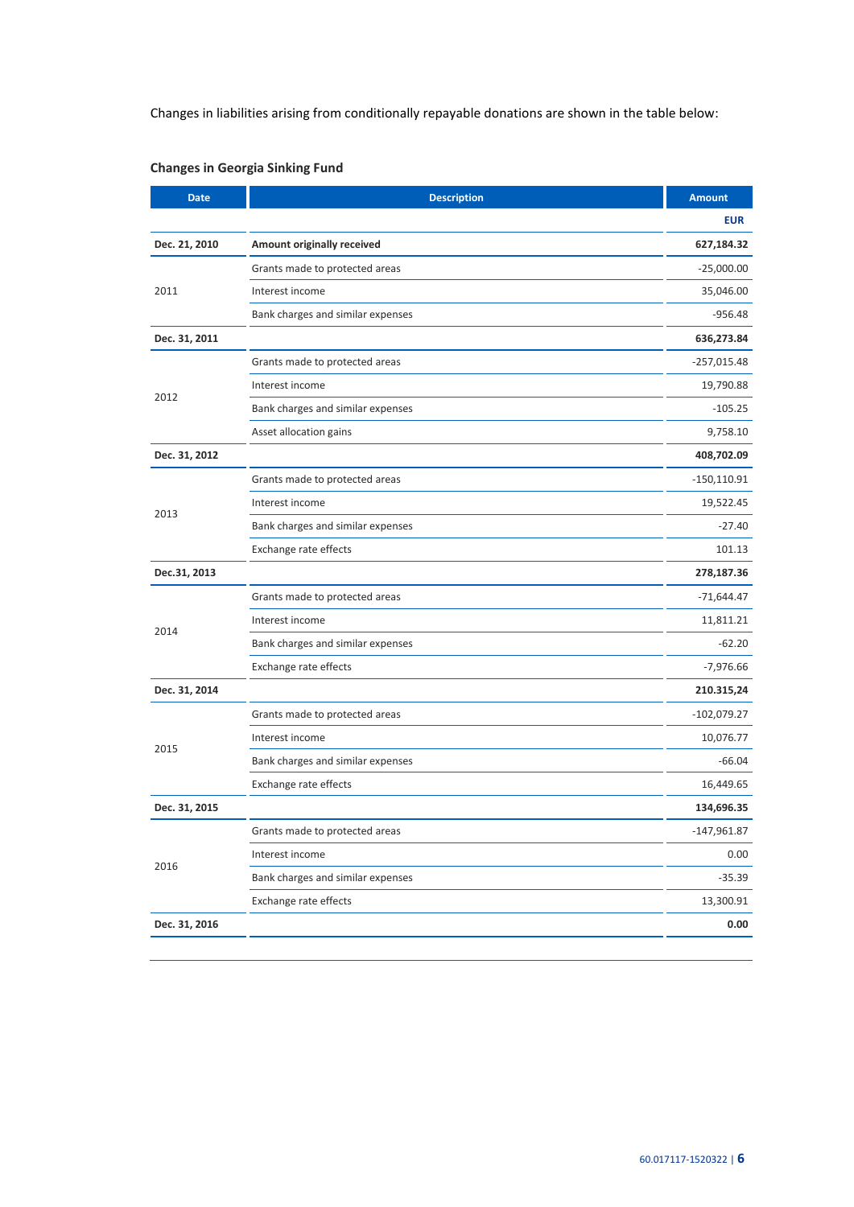Changes in liabilities arising from conditionally repayable donations are shown in the table below:

| <b>Date</b>   | <b>Description</b>                | <b>Amount</b> |
|---------------|-----------------------------------|---------------|
|               |                                   | <b>EUR</b>    |
| Dec. 21, 2010 | Amount originally received        | 627,184.32    |
|               | Grants made to protected areas    | $-25,000.00$  |
| 2011          | Interest income                   | 35,046.00     |
|               | Bank charges and similar expenses | $-956.48$     |
| Dec. 31, 2011 |                                   | 636,273.84    |
|               | Grants made to protected areas    | -257,015.48   |
|               | Interest income                   | 19,790.88     |
| 2012          | Bank charges and similar expenses | $-105.25$     |
|               | Asset allocation gains            | 9,758.10      |
| Dec. 31, 2012 |                                   | 408,702.09    |
|               | Grants made to protected areas    | $-150,110.91$ |
|               | Interest income                   | 19,522.45     |
| 2013          | Bank charges and similar expenses | $-27.40$      |
|               | Exchange rate effects             | 101.13        |
| Dec.31, 2013  |                                   | 278,187.36    |
|               | Grants made to protected areas    | -71,644.47    |
|               | Interest income                   | 11,811.21     |
| 2014          | Bank charges and similar expenses | $-62.20$      |
|               | Exchange rate effects             | $-7,976.66$   |
| Dec. 31, 2014 |                                   | 210.315,24    |
|               | Grants made to protected areas    | $-102,079.27$ |
|               | Interest income                   | 10,076.77     |
| 2015          | Bank charges and similar expenses | $-66.04$      |
|               | Exchange rate effects             | 16,449.65     |
| Dec. 31, 2015 |                                   | 134,696.35    |
|               | Grants made to protected areas    | $-147,961.87$ |
|               | Interest income                   | 0.00          |
| 2016          | Bank charges and similar expenses | $-35.39$      |
|               | Exchange rate effects             | 13,300.91     |
| Dec. 31, 2016 |                                   | 0.00          |
|               |                                   |               |

## **Changes in Georgia Sinking Fund**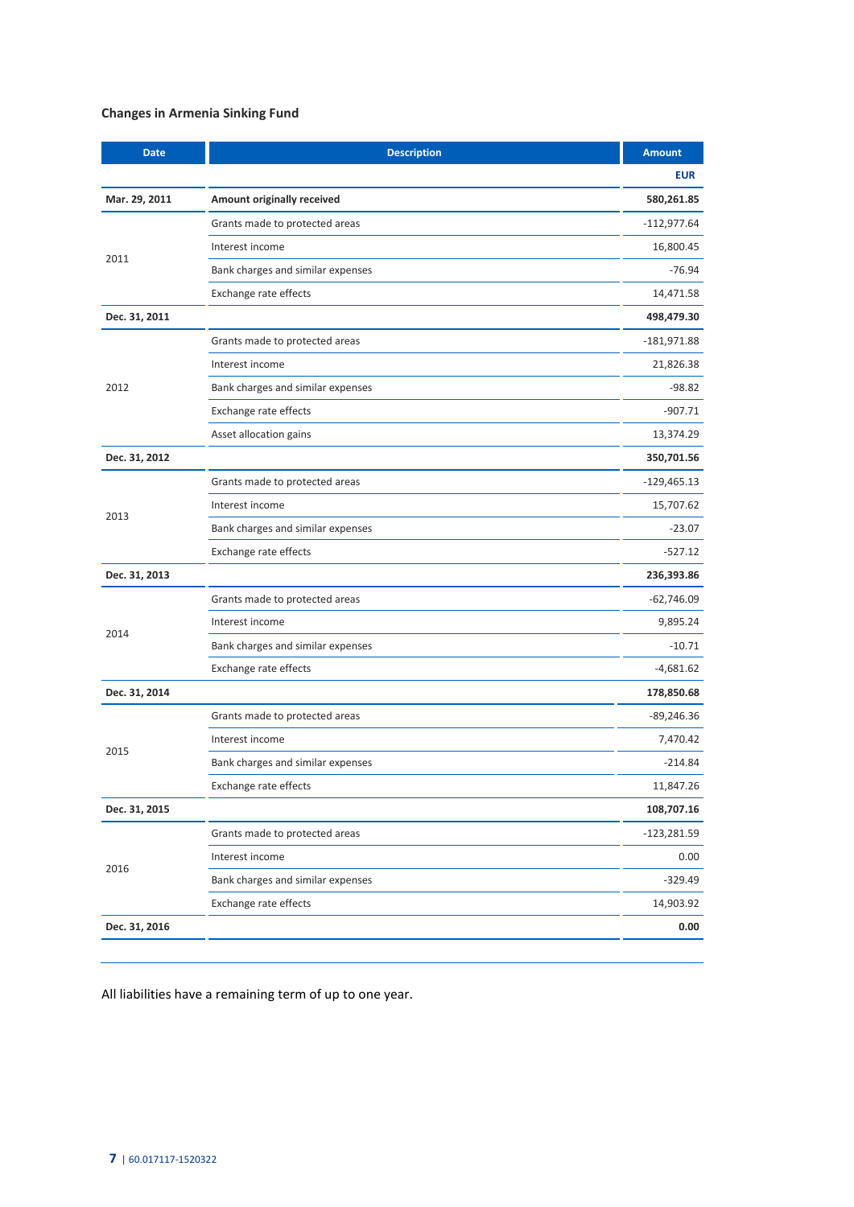## **Changes in Armenia Sinking Fund**

| <b>Date</b>   | <b>Description</b>                | <b>Amount</b> |
|---------------|-----------------------------------|---------------|
|               |                                   | <b>EUR</b>    |
| Mar. 29, 2011 | Amount originally received        | 580,261.85    |
|               | Grants made to protected areas    | $-112,977.64$ |
|               | Interest income                   | 16,800.45     |
| 2011          | Bank charges and similar expenses | $-76.94$      |
|               | Exchange rate effects             | 14,471.58     |
| Dec. 31, 2011 |                                   | 498,479.30    |
|               | Grants made to protected areas    | $-181,971.88$ |
|               | Interest income                   | 21,826.38     |
| 2012          | Bank charges and similar expenses | $-98.82$      |
|               | Exchange rate effects             | $-907.71$     |
|               | Asset allocation gains            | 13,374.29     |
| Dec. 31, 2012 |                                   | 350,701.56    |
|               | Grants made to protected areas    | $-129,465.13$ |
|               | Interest income                   | 15,707.62     |
| 2013          | Bank charges and similar expenses | $-23.07$      |
|               | Exchange rate effects             | $-527.12$     |
| Dec. 31, 2013 |                                   | 236,393.86    |
|               | Grants made to protected areas    | $-62,746.09$  |
|               | Interest income                   | 9,895.24      |
| 2014          | Bank charges and similar expenses | $-10.71$      |
|               | Exchange rate effects             | -4,681.62     |
| Dec. 31, 2014 |                                   | 178,850.68    |
|               | Grants made to protected areas    | -89,246.36    |
|               | Interest income                   | 7,470.42      |
| 2015          | Bank charges and similar expenses | $-214.84$     |
|               | Exchange rate effects             | 11,847.26     |
| Dec. 31, 2015 |                                   | 108,707.16    |
|               | Grants made to protected areas    | -123,281.59   |
|               | Interest income                   | 0.00          |
| 2016          | Bank charges and similar expenses | $-329.49$     |
|               | Exchange rate effects             | 14,903.92     |
| Dec. 31, 2016 |                                   | 0.00          |
|               |                                   |               |

All liabilities have a remaining term of up to one year.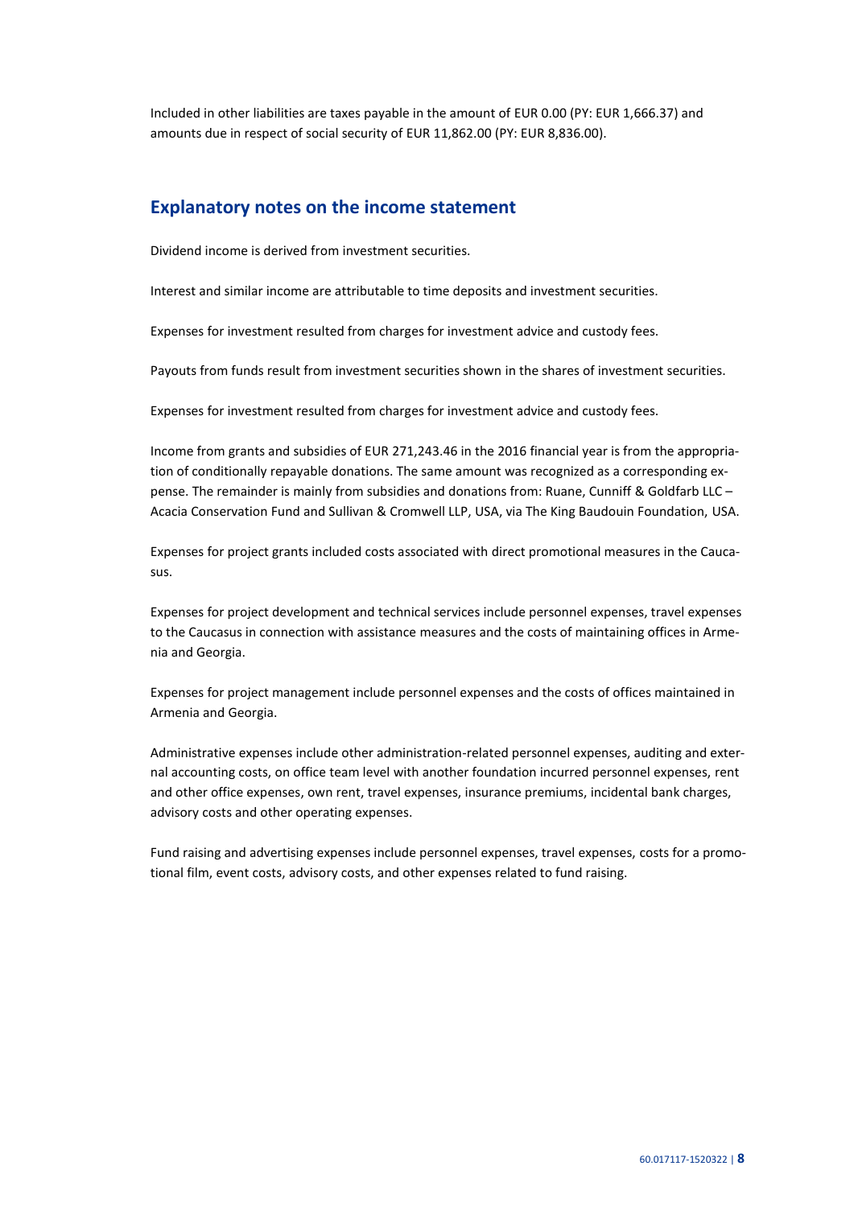Included in other liabilities are taxes payable in the amount of EUR 0.00 (PY: EUR 1,666.37) and amounts due in respect of social security of EUR 11,862.00 (PY: EUR 8,836.00).

## **Explanatory notes on the income statement**

Dividend income is derived from investment securities.

Interest and similar income are attributable to time deposits and investment securities.

Expenses for investment resulted from charges for investment advice and custody fees.

Payouts from funds result from investment securities shown in the shares of investment securities.

Expenses for investment resulted from charges for investment advice and custody fees.

Income from grants and subsidies of EUR 271,243.46 in the 2016 financial year is from the appropriation of conditionally repayable donations. The same amount was recognized as a corresponding expense. The remainder is mainly from subsidies and donations from: Ruane, Cunniff & Goldfarb LLC – Acacia Conservation Fund and Sullivan & Cromwell LLP, USA, via The King Baudouin Foundation, USA.

Expenses for project grants included costs associated with direct promotional measures in the Caucasus.

Expenses for project development and technical services include personnel expenses, travel expenses to the Caucasus in connection with assistance measures and the costs of maintaining offices in Armenia and Georgia.

Expenses for project management include personnel expenses and the costs of offices maintained in Armenia and Georgia.

Administrative expenses include other administration-related personnel expenses, auditing and external accounting costs, on office team level with another foundation incurred personnel expenses, rent and other office expenses, own rent, travel expenses, insurance premiums, incidental bank charges, advisory costs and other operating expenses.

Fund raising and advertising expenses include personnel expenses, travel expenses, costs for a promotional film, event costs, advisory costs, and other expenses related to fund raising.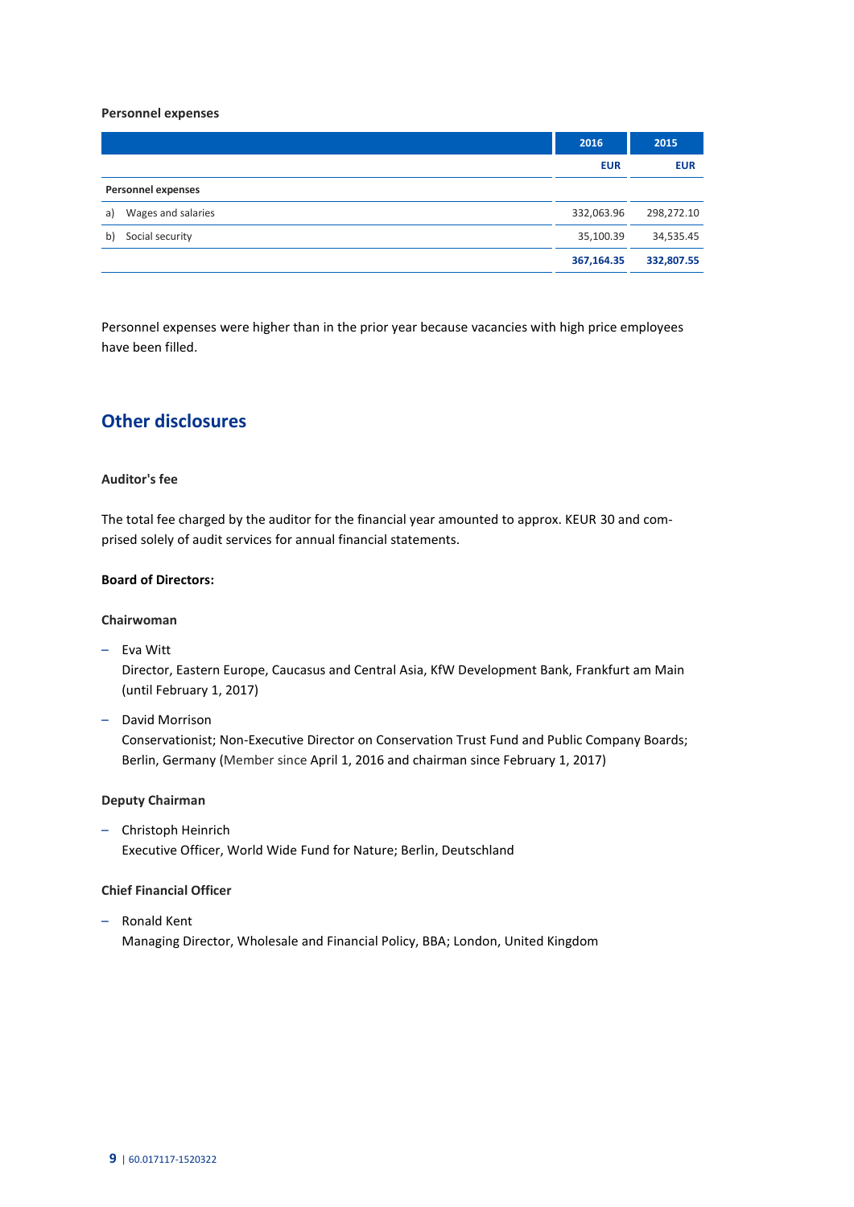#### **Personnel expenses**

|                           | 2016       | 2015       |
|---------------------------|------------|------------|
|                           | <b>EUR</b> | <b>EUR</b> |
| <b>Personnel expenses</b> |            |            |
| Wages and salaries<br>a)  | 332,063.96 | 298,272.10 |
| Social security<br>b)     | 35,100.39  | 34,535.45  |
|                           | 367,164.35 | 332,807.55 |

Personnel expenses were higher than in the prior year because vacancies with high price employees have been filled.

## **Other disclosures**

### **Auditor's fee**

The total fee charged by the auditor for the financial year amounted to approx. KEUR 30 and comprised solely of audit services for annual financial statements.

#### **Board of Directors:**

#### **Chairwoman**

– Eva Witt

Director, Eastern Europe, Caucasus and Central Asia, KfW Development Bank, Frankfurt am Main (until February 1, 2017)

– David Morrison

Conservationist; Non-Executive Director on Conservation Trust Fund and Public Company Boards; Berlin, Germany (Member since April 1, 2016 and chairman since February 1, 2017)

#### **Deputy Chairman**

– Christoph Heinrich Executive Officer, World Wide Fund for Nature; Berlin, Deutschland

## **Chief Financial Officer**

– Ronald Kent Managing Director, Wholesale and Financial Policy, BBA; London, United Kingdom